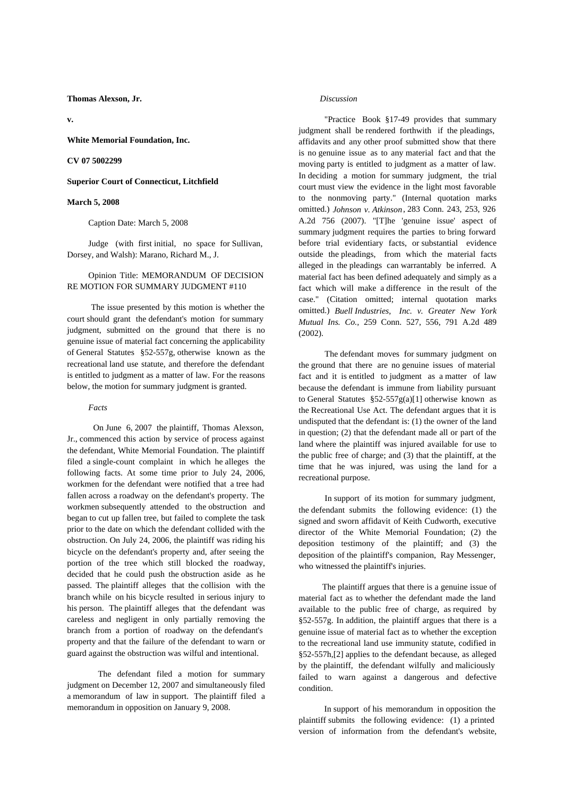**Thomas Alexson, Jr.**

**v.**

**White Memorial Foundation, Inc.**

**CV 07 5002299**

**Superior Court of Connecticut, Litchfield**

### **March 5, 2008**

Caption Date: March 5, 2008

 Judge (with first initial, no space for Sullivan, Dorsey, and Walsh): Marano, Richard M., J.

# Opinion Title: MEMORANDUM OF DECISION RE MOTION FOR SUMMARY JUDGMENT #110

 The issue presented by this motion is whether the court should grant the defendant's motion for summary judgment, submitted on the ground that there is no genuine issue of material fact concerning the applicability of General Statutes §52-557g, otherwise known as the recreational land use statute, and therefore the defendant is entitled to judgment as a matter of law. For the reasons below, the motion for summary judgment is granted.

#### *Facts*

 On June 6, 2007 the plaintiff, Thomas Alexson, Jr., commenced this action by service of process against the defendant, White Memorial Foundation. The plaintiff filed a single-count complaint in which he alleges the following facts. At some time prior to July 24, 2006, workmen for the defendant were notified that a tree had fallen across a roadway on the defendant's property. The workmen subsequently attended to the obstruction and began to cut up fallen tree, but failed to complete the task prior to the date on which the defendant collided with the obstruction. On July 24, 2006, the plaintiff was riding his bicycle on the defendant's property and, after seeing the portion of the tree which still blocked the roadway, decided that he could push the obstruction aside as he passed. The plaintiff alleges that the collision with the branch while on his bicycle resulted in serious injury to his person. The plaintiff alleges that the defendant was careless and negligent in only partially removing the branch from a portion of roadway on the defendant's property and that the failure of the defendant to warn or guard against the obstruction was wilful and intentional.

The defendant filed a motion for summary judgment on December 12, 2007 and simultaneously filed a memorandum of law in support. The plaintiff filed amemorandum in opposition on January 9, 2008.

# *Discussion*

"Practice Book  $§17-49$  provides that summary judgment shall be rendered forthwith if the pleadings, affidavits and any other proof submitted show that there is no genuine issue as to any material fact and that the moving party is entitled to judgment as a matter of law. In deciding a motion for summary judgment, the trial court must view the evidence in the light most favorable to the nonmoving party." (Internal quotation marks omitted.) *Johnson v. Atkinson*, 283 Conn. 243, 253, 926 A.2d 756 (2007). "[T]he 'genuine issue' aspect of summary judgment requires the parties to bring forward before trial evidentiary facts, or substantial evidence outside the pleadings, from which the material facts alleged in the pleadings can warrantably be inferred. A material fact has been defined adequately and simply as a fact which will make a difference in the result of the case." (Citation omitted; internal quotation marks omitted.) *Buell Industries, Inc. v. Greater New York Mutual Ins. Co.,* 259 Conn. 527, 556, 791 A.2d 489 (2002).

 The defendant moves for summary judgment on the ground that there are no genuine issues of material fact and it is entitled to judgment as a matter of law because the defendant is immune from liability pursuant to General Statutes  $\S52-557g(a)[1]$  otherwise known as the Recreational Use Act. The defendant argues that it is undisputed that the defendant is: (1) the owner of the land in question; (2) that the defendant made all or part of the land where the plaintiff was injured available for use to the public free of charge; and (3) that the plaintiff, at the time that he was injured, was using the land for a recreational purpose.

 In support of its motion for summary judgment, the defendant submits the following evidence: (1) the signed and sworn affidavit of Keith Cudworth, executive director of the White Memorial Foundation; (2) the deposition testimony of the plaintiff; and (3) the deposition of the plaintiff's companion, Ray Messenger, who witnessed the plaintiff's injuries.

 The plaintiff argues that there is a genuine issue of material fact as to whether the defendant made the land available to the public free of charge, as required by §52-557g. In addition, the plaintiff argues that there is a genuine issue of material fact as to whether the exception to the recreational land use immunity statute, codified in §52-557h,[2] applies to the defendant because, as alleged by the plaintiff, the defendant wilfully and maliciously failed to warn against a dangerous and defective condition.

 In support of his memorandum in opposition the plaintiff submits the following evidence: (1) a printed version of information from the defendant's website,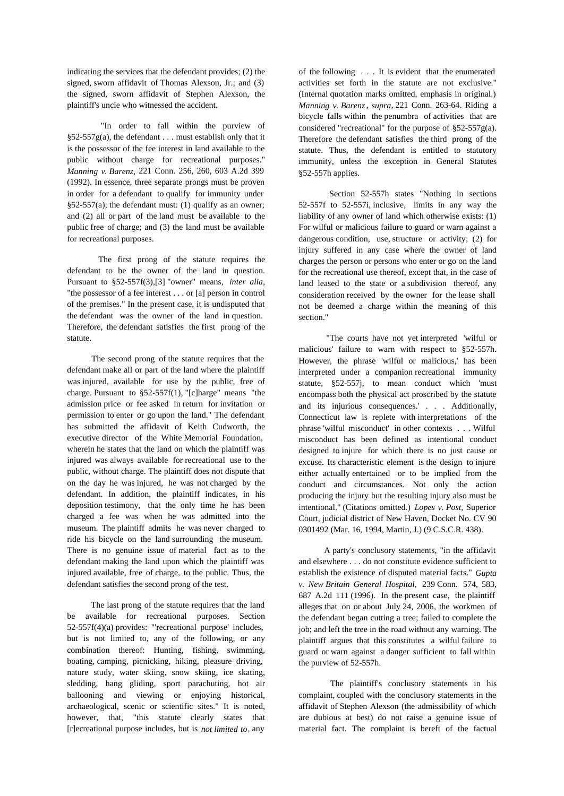indicating the services that the defendant provides; (2) the signed, sworn affidavit of Thomas Alexson, Jr.; and (3) the signed, sworn affidavit of Stephen Alexson, the plaintiff's uncle who witnessed the accident.

"In order to fall within the purview of  $§52-557g(a)$ , the defendant . . . must establish only that it is the possessor of the fee interest in land available to the public without charge for recreational purposes." *Manning v. Barenz,* 221 Conn. 256, 260, 603 A.2d 399 (1992). In essence, three separate prongs must be proven in order for a defendant to qualify for immunity under  $§52-557(a);$  the defendant must: (1) qualify as an owner; and (2) all or part of the land must be available to the public free of charge; and (3) the land must be available for recreational purposes.

The first prong of the statute requires the defendant to be the owner of the land in question. Pursuant to §52-557f(3),[3] "owner" means, *inter alia*, "the possessor of a fee interest . . . or [a] person in control of the premises." In the present case, it is undisputed that the defendant was the owner of the land in question. Therefore, the defendant satisfies the first prong of the statute.

 The second prong of the statute requires that the defendant make all or part of the land where the plaintiff was injured, available for use by the public, free of charge. Pursuant to  $\S 52-557f(1)$ , "[c]harge" means "the admission price or fee asked in return for invitation or permission to enter or go upon the land." The defendant has submitted the affidavit of Keith Cudworth, the executive director of the White Memorial Foundation, wherein he states that the land on which the plaintiff was injured was always available for recreational use to the public, without charge. The plaintiff does not dispute that on the day he was injured, he was not charged by the defendant. In addition, the plaintiff indicates, in his deposition testimony, that the only time he has been charged afee was when he was admitted into the museum. The plaintiff admits he was never charged to ride his bicycle on the land surrounding the museum. There is no genuine issue of material fact as to the defendant making the land upon which the plaintiff was injured available, free of charge, to the public. Thus, the defendant satisfies the second prong of the test.

 The last prong of the statute requires that the land be available for recreational purposes. Section 52-557f(4)(a) provides: "'recreational purpose' includes, but is not limited to, any of the following, or any combination thereof: Hunting, fishing, swimming, boating, camping, picnicking, hiking, pleasure driving, nature study, water skiing, snow skiing, ice skating, sledding, hang gliding, sport parachuting, hot air ballooning and viewing or enjoying historical, archaeological, scenic or scientific sites." It is noted, however, that, "this statute clearly states that [r]ecreational purpose includes, but is *not limited to*, any of the following . . . It is evident that the enumerated activities set forth in the statute are not exclusive." (Internal quotation marks omitted, emphasis in original.) *Manning v. Barenz*, *supra*, 221 Conn. 263-64. Riding a bicycle falls within the penumbra of activities that are considered "recreational" for the purpose of §52-557g(a). Therefore the defendant satisfies the third prong of the statute. Thus, the defendant is entitled to statutory immunity, unless the exception in General Statutes §52-557h applies.

Section 52-557h states "Nothing in sections 52-557f to 52-557i, inclusive, limits in any way the liability of any owner of land which otherwise exists: (1) For wilful or malicious failure to guard or warn against a dangerous condition, use, structure or activity; (2) for injury suffered in any case where the owner of land charges the person or persons who enter or go on the land for the recreational use thereof, except that, in the case of land leased to the state or a subdivision thereof, any consideration received by the owner for the lease shall not be deemed acharge within the meaning of this section."

 "The courts have not yet interpreted 'wilful or malicious' failure to warn with respect to §52-557h. However, the phrase 'wilful or malicious,' has been interpreted under a companion recreational immunity statute, §52-557j, to mean conduct which 'must encompass both the physical act proscribed by the statute and its injurious consequences.' . . . Additionally, Connecticut law is replete with interpretations of the phrase 'wilful misconduct' in other contexts . . . Wilful misconduct has been defined as intentional conduct designed to injure for which there is no just cause or excuse. Its characteristic element is the design to injure either actually entertained or to be implied from the conduct and circumstances. Not only the action producing the injury but the resulting injury also must be intentional." (Citations omitted.) *Lopes v. Post,* Superior Court, judicial district of New Haven, Docket No. CV 90 0301492 (Mar. 16, 1994, Martin, J.) (9 C.S.C.R. 438).

 A party's conclusory statements, "in the affidavit and elsewhere . . . do not constitute evidence sufficient to establish the existence of disputed material facts." *Gupta v. New Britain General Hospital,* 239 Conn. 574, 583, 687 A.2d 111 (1996). In the present case, the plaintiff alleges that on or about July 24, 2006, the workmen of the defendant began cutting a tree; failed to complete the job; and left the tree in the road without any warning. The plaintiff argues that this constitutes a wilful failure to guard or warn against a danger sufficient to fall within the purview of 52-557h.

The plaintiff's conclusory statements in his complaint, coupled with the conclusory statements in the affidavit of Stephen Alexson (the admissibility of which are dubious at best) do not raise a genuine issue of material fact. The complaint is bereft of the factual